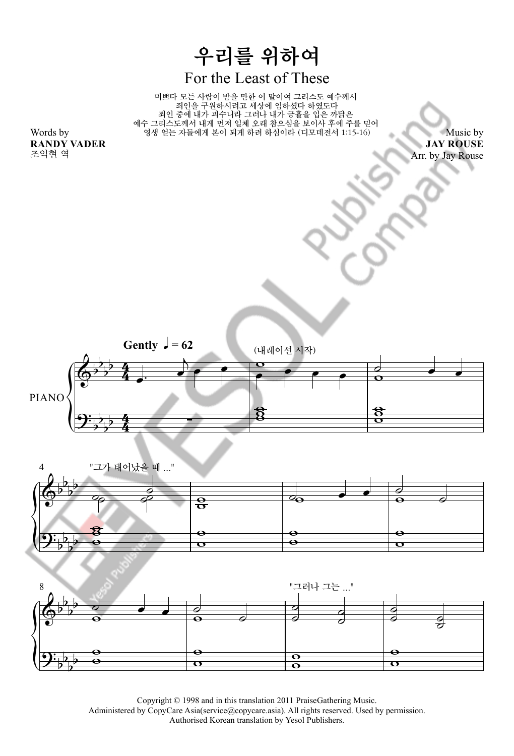







Copyright © 1998 and in this translation 2011 PraiseGathering Music.

Administered by CopyCare Asia(service@copycare.asia). All rights reserved. Used by permission.

Authorised Korean translation by Yesol Publishers.